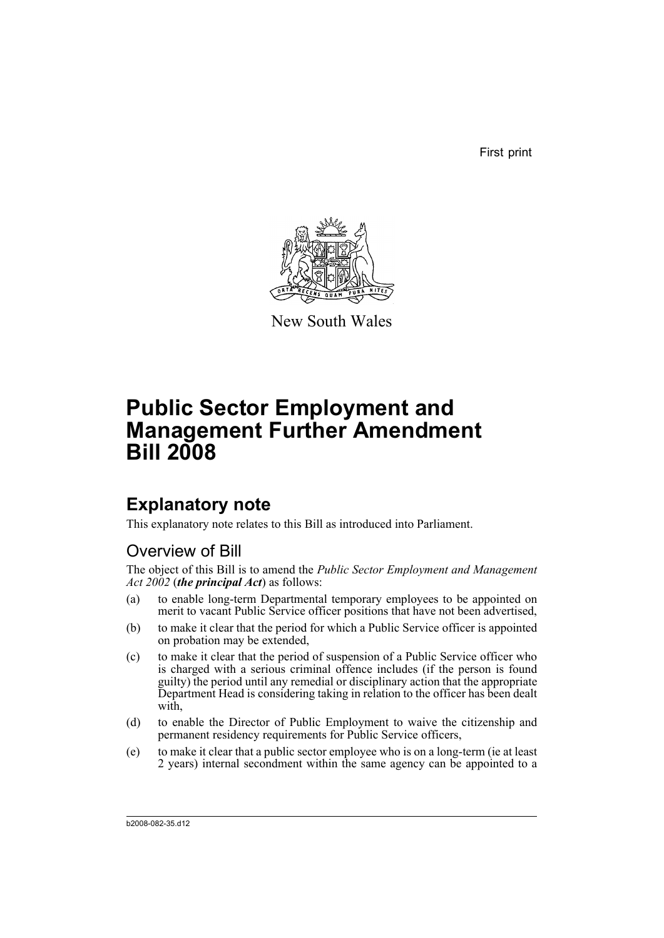First print



New South Wales

# **Public Sector Employment and Management Further Amendment Bill 2008**

## **Explanatory note**

This explanatory note relates to this Bill as introduced into Parliament.

## Overview of Bill

The object of this Bill is to amend the *Public Sector Employment and Management Act 2002* (*the principal Act*) as follows:

- (a) to enable long-term Departmental temporary employees to be appointed on merit to vacant Public Service officer positions that have not been advertised,
- (b) to make it clear that the period for which a Public Service officer is appointed on probation may be extended,
- (c) to make it clear that the period of suspension of a Public Service officer who is charged with a serious criminal offence includes (if the person is found guilty) the period until any remedial or disciplinary action that the appropriate Department Head is considering taking in relation to the officer has been dealt with,
- (d) to enable the Director of Public Employment to waive the citizenship and permanent residency requirements for Public Service officers,
- (e) to make it clear that a public sector employee who is on a long-term (ie at least 2 years) internal secondment within the same agency can be appointed to a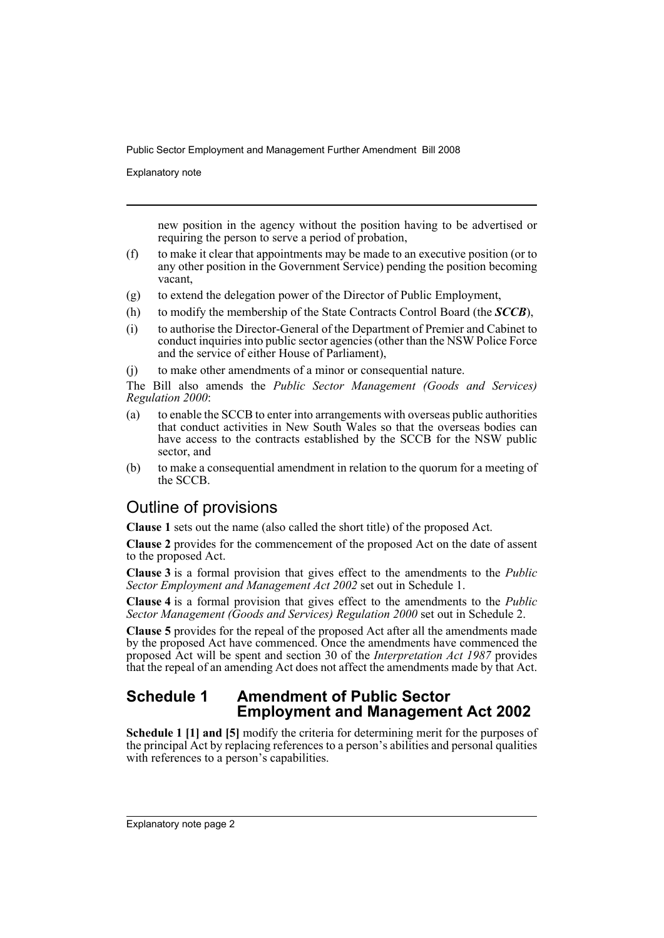Explanatory note

new position in the agency without the position having to be advertised or requiring the person to serve a period of probation,

- (f) to make it clear that appointments may be made to an executive position (or to any other position in the Government Service) pending the position becoming vacant,
- (g) to extend the delegation power of the Director of Public Employment,
- (h) to modify the membership of the State Contracts Control Board (the *SCCB*),
- (i) to authorise the Director-General of the Department of Premier and Cabinet to conduct inquiries into public sector agencies (other than the NSW Police Force and the service of either House of Parliament),

(j) to make other amendments of a minor or consequential nature.

The Bill also amends the *Public Sector Management (Goods and Services) Regulation 2000*:

- (a) to enable the SCCB to enter into arrangements with overseas public authorities that conduct activities in New South Wales so that the overseas bodies can have access to the contracts established by the SCCB for the NSW public sector, and
- (b) to make a consequential amendment in relation to the quorum for a meeting of the SCCB.

## Outline of provisions

**Clause 1** sets out the name (also called the short title) of the proposed Act.

**Clause 2** provides for the commencement of the proposed Act on the date of assent to the proposed Act.

**Clause 3** is a formal provision that gives effect to the amendments to the *Public Sector Employment and Management Act 2002* set out in Schedule 1.

**Clause 4** is a formal provision that gives effect to the amendments to the *Public Sector Management (Goods and Services) Regulation 2000* set out in Schedule 2.

**Clause 5** provides for the repeal of the proposed Act after all the amendments made by the proposed Act have commenced. Once the amendments have commenced the proposed Act will be spent and section 30 of the *Interpretation Act 1987* provides that the repeal of an amending Act does not affect the amendments made by that Act.

## **Schedule 1 Amendment of Public Sector Employment and Management Act 2002**

**Schedule 1 [1] and [5]** modify the criteria for determining merit for the purposes of the principal Act by replacing references to a person's abilities and personal qualities with references to a person's capabilities.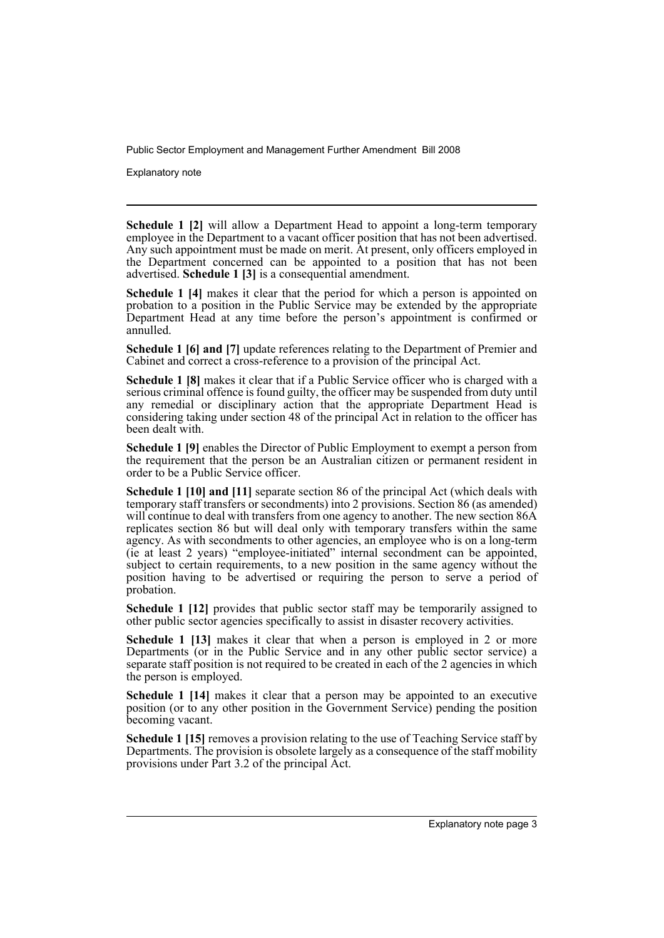Explanatory note

**Schedule 1 [2]** will allow a Department Head to appoint a long-term temporary employee in the Department to a vacant officer position that has not been advertised. Any such appointment must be made on merit. At present, only officers employed in the Department concerned can be appointed to a position that has not been advertised. **Schedule 1 [3]** is a consequential amendment.

**Schedule 1 [4]** makes it clear that the period for which a person is appointed on probation to a position in the Public Service may be extended by the appropriate Department Head at any time before the person's appointment is confirmed or annulled.

**Schedule 1 [6] and [7]** update references relating to the Department of Premier and Cabinet and correct a cross-reference to a provision of the principal Act.

**Schedule 1 [8]** makes it clear that if a Public Service officer who is charged with a serious criminal offence is found guilty, the officer may be suspended from duty until any remedial or disciplinary action that the appropriate Department Head is considering taking under section 48 of the principal Act in relation to the officer has been dealt with.

**Schedule 1 [9]** enables the Director of Public Employment to exempt a person from the requirement that the person be an Australian citizen or permanent resident in order to be a Public Service officer.

**Schedule 1 [10] and [11]** separate section 86 of the principal Act (which deals with temporary staff transfers or secondments) into 2 provisions. Section 86 (as amended) will continue to deal with transfers from one agency to another. The new section 86A replicates section 86 but will deal only with temporary transfers within the same agency. As with secondments to other agencies, an employee who is on a long-term (ie at least 2 years) "employee-initiated" internal secondment can be appointed, subject to certain requirements, to a new position in the same agency without the position having to be advertised or requiring the person to serve a period of probation.

**Schedule 1 [12]** provides that public sector staff may be temporarily assigned to other public sector agencies specifically to assist in disaster recovery activities.

**Schedule 1 [13]** makes it clear that when a person is employed in 2 or more Departments (or in the Public Service and in any other public sector service) a separate staff position is not required to be created in each of the 2 agencies in which the person is employed.

**Schedule 1 [14]** makes it clear that a person may be appointed to an executive position (or to any other position in the Government Service) pending the position becoming vacant.

**Schedule 1 [15]** removes a provision relating to the use of Teaching Service staff by Departments. The provision is obsolete largely as a consequence of the staff mobility provisions under Part 3.2 of the principal Act.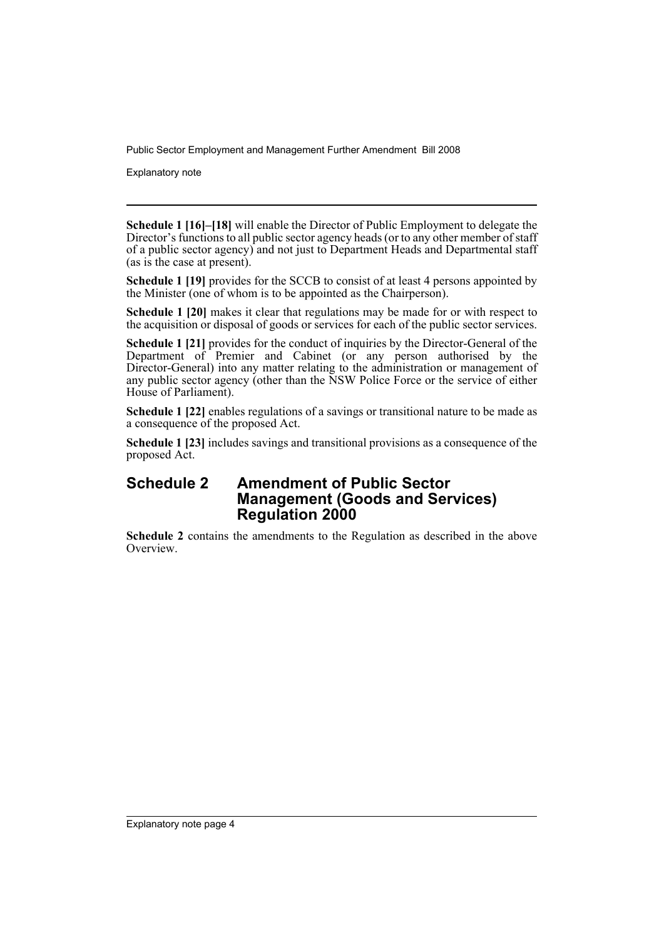Explanatory note

**Schedule 1 [16]–[18]** will enable the Director of Public Employment to delegate the Director's functions to all public sector agency heads (or to any other member of staff of a public sector agency) and not just to Department Heads and Departmental staff (as is the case at present).

**Schedule 1 [19]** provides for the SCCB to consist of at least 4 persons appointed by the Minister (one of whom is to be appointed as the Chairperson).

**Schedule 1 [20]** makes it clear that regulations may be made for or with respect to the acquisition or disposal of goods or services for each of the public sector services.

**Schedule 1 [21]** provides for the conduct of inquiries by the Director-General of the Department of Premier and Cabinet (or any person authorised by the Director-General) into any matter relating to the administration or management of any public sector agency (other than the NSW Police Force or the service of either House of Parliament).

**Schedule 1 [22]** enables regulations of a savings or transitional nature to be made as a consequence of the proposed Act.

**Schedule 1 [23]** includes savings and transitional provisions as a consequence of the proposed Act.

### **Schedule 2 Amendment of Public Sector Management (Goods and Services) Regulation 2000**

**Schedule 2** contains the amendments to the Regulation as described in the above Overview.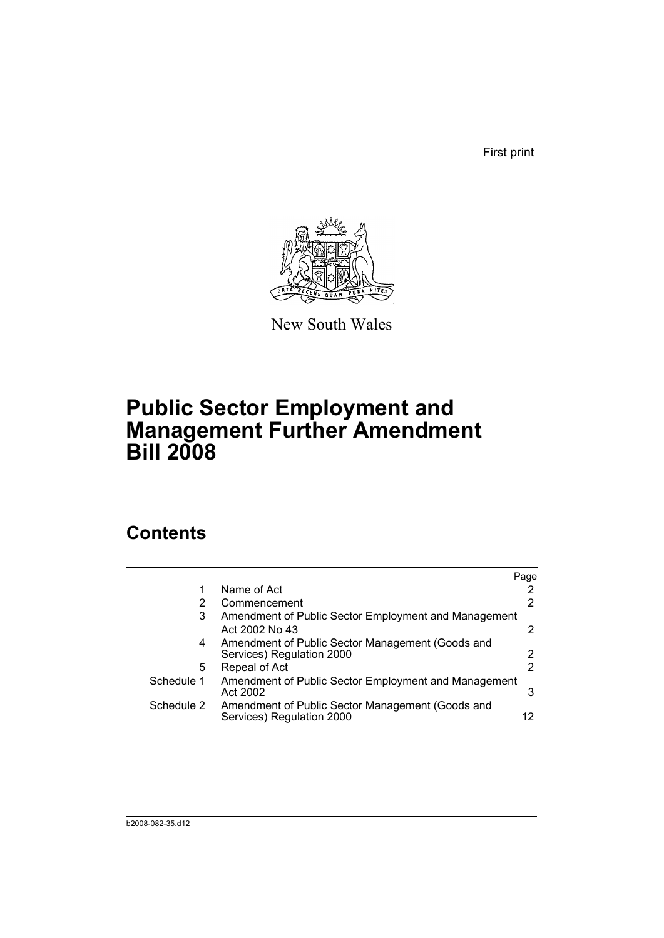First print



New South Wales

# **Public Sector Employment and Management Further Amendment Bill 2008**

## **Contents**

|            |                                                                               | Page                 |
|------------|-------------------------------------------------------------------------------|----------------------|
|            | Name of Act                                                                   | 2                    |
| 2          | Commencement                                                                  | 2                    |
| 3          | Amendment of Public Sector Employment and Management<br>Act 2002 No 43        | 2                    |
| 4          | Amendment of Public Sector Management (Goods and<br>Services) Regulation 2000 | $\mathbf{2}^{\circ}$ |
| 5.         | Repeal of Act                                                                 | 2                    |
| Schedule 1 | Amendment of Public Sector Employment and Management<br>Act 2002              | 3                    |
| Schedule 2 | Amendment of Public Sector Management (Goods and<br>Services) Regulation 2000 | 12                   |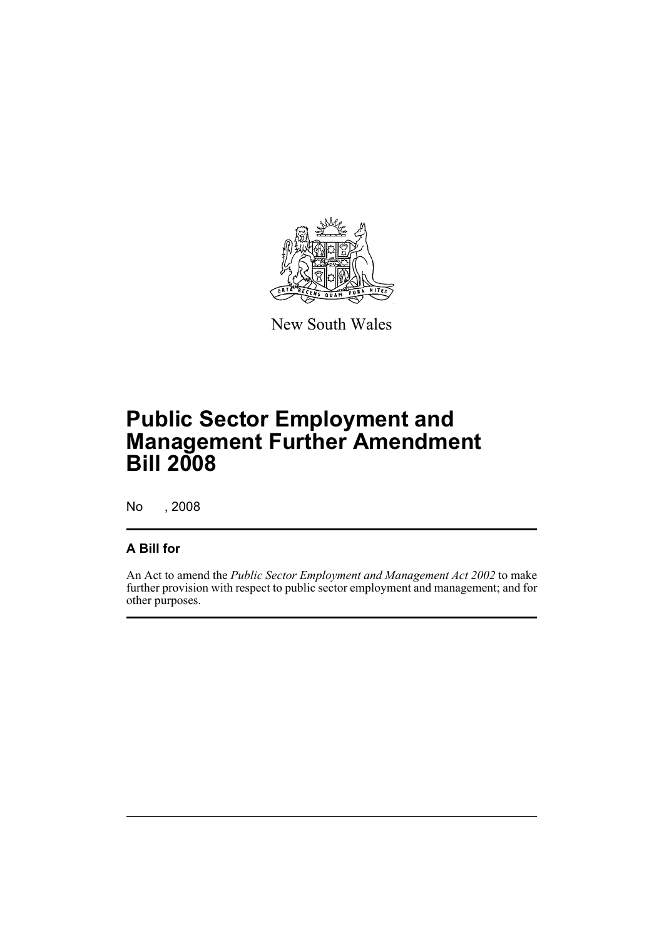

New South Wales

# **Public Sector Employment and Management Further Amendment Bill 2008**

No , 2008

### **A Bill for**

An Act to amend the *Public Sector Employment and Management Act 2002* to make further provision with respect to public sector employment and management; and for other purposes.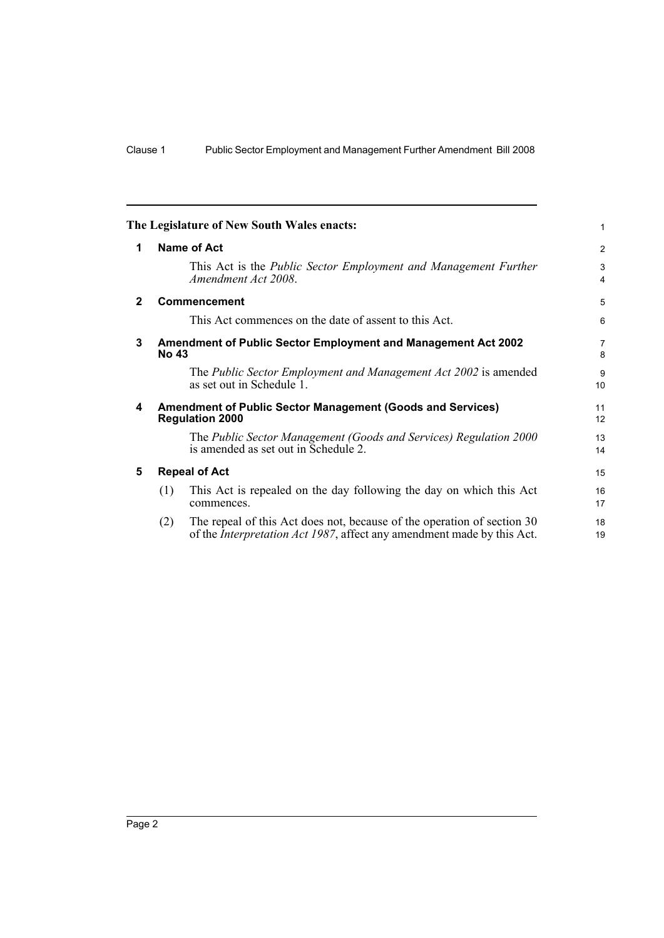<span id="page-7-4"></span><span id="page-7-3"></span><span id="page-7-2"></span><span id="page-7-1"></span><span id="page-7-0"></span>

|              |                                                                               | The Legislature of New South Wales enacts:                                                                                                                | 1        |  |  |  |  |
|--------------|-------------------------------------------------------------------------------|-----------------------------------------------------------------------------------------------------------------------------------------------------------|----------|--|--|--|--|
| 1            | <b>Name of Act</b>                                                            |                                                                                                                                                           |          |  |  |  |  |
|              |                                                                               | This Act is the <i>Public Sector Employment and Management Further</i><br>Amendment Act 2008.                                                             | 3<br>4   |  |  |  |  |
| $\mathbf{2}$ |                                                                               | <b>Commencement</b>                                                                                                                                       | 5        |  |  |  |  |
|              |                                                                               | This Act commences on the date of assent to this Act.                                                                                                     | 6        |  |  |  |  |
| 3            | Amendment of Public Sector Employment and Management Act 2002<br><b>No 43</b> |                                                                                                                                                           |          |  |  |  |  |
|              |                                                                               | The Public Sector Employment and Management Act 2002 is amended<br>as set out in Schedule 1.                                                              | 9<br>10  |  |  |  |  |
| 4            |                                                                               | <b>Amendment of Public Sector Management (Goods and Services)</b><br><b>Regulation 2000</b>                                                               | 11<br>12 |  |  |  |  |
|              |                                                                               | The Public Sector Management (Goods and Services) Regulation 2000<br>is amended as set out in Schedule 2.                                                 | 13<br>14 |  |  |  |  |
| 5            |                                                                               | <b>Repeal of Act</b>                                                                                                                                      | 15       |  |  |  |  |
|              | (1)                                                                           | This Act is repealed on the day following the day on which this Act<br>commences.                                                                         | 16<br>17 |  |  |  |  |
|              | (2)                                                                           | The repeal of this Act does not, because of the operation of section 30<br>of the <i>Interpretation Act 1987</i> , affect any amendment made by this Act. | 18<br>19 |  |  |  |  |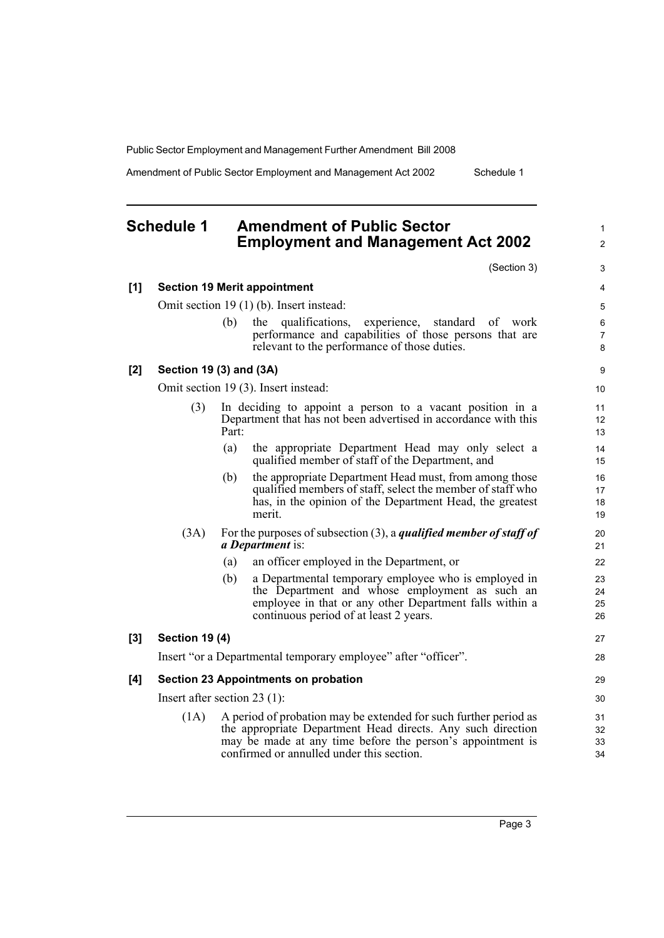Amendment of Public Sector Employment and Management Act 2002 Schedule 1

<span id="page-8-0"></span>

| <b>Schedule 1</b> | <b>Amendment of Public Sector</b>         |
|-------------------|-------------------------------------------|
|                   | <b>Employment and Management Act 2002</b> |

(Section 3)

|     |                                          |       | (Section 3)                                                                                                                                                                                                                                | 3                        |  |  |
|-----|------------------------------------------|-------|--------------------------------------------------------------------------------------------------------------------------------------------------------------------------------------------------------------------------------------------|--------------------------|--|--|
| [1] |                                          |       | <b>Section 19 Merit appointment</b>                                                                                                                                                                                                        | 4                        |  |  |
|     | Omit section 19 (1) (b). Insert instead: |       |                                                                                                                                                                                                                                            |                          |  |  |
|     |                                          | (b)   | qualifications, experience,<br>the<br>standard of work<br>performance and capabilities of those persons that are<br>relevant to the performance of those duties.                                                                           | 6<br>$\overline{7}$<br>8 |  |  |
| [2] | Section 19 (3) and (3A)                  |       |                                                                                                                                                                                                                                            | 9                        |  |  |
|     |                                          |       | Omit section 19 (3). Insert instead:                                                                                                                                                                                                       | 10                       |  |  |
|     | (3)                                      | Part: | In deciding to appoint a person to a vacant position in a<br>Department that has not been advertised in accordance with this                                                                                                               | 11<br>12<br>13           |  |  |
|     |                                          | (a)   | the appropriate Department Head may only select a<br>qualified member of staff of the Department, and                                                                                                                                      | 14<br>15                 |  |  |
|     |                                          | (b)   | the appropriate Department Head must, from among those<br>qualified members of staff, select the member of staff who<br>has, in the opinion of the Department Head, the greatest<br>merit.                                                 | 16<br>17<br>18<br>19     |  |  |
|     | (3A)                                     |       | For the purposes of subsection $(3)$ , a <i>qualified member of staff of</i><br><i>a Department</i> is:                                                                                                                                    | 20<br>21                 |  |  |
|     |                                          | (a)   | an officer employed in the Department, or                                                                                                                                                                                                  | 22                       |  |  |
|     |                                          | (b)   | a Departmental temporary employee who is employed in<br>the Department and whose employment as such an<br>employee in that or any other Department falls within a<br>continuous period of at least 2 years.                                | 23<br>24<br>25<br>26     |  |  |
| [3] | <b>Section 19 (4)</b>                    |       |                                                                                                                                                                                                                                            | 27                       |  |  |
|     |                                          |       | Insert "or a Departmental temporary employee" after "officer".                                                                                                                                                                             | 28                       |  |  |
| [4] |                                          |       | Section 23 Appointments on probation                                                                                                                                                                                                       | 29                       |  |  |
|     | Insert after section 23 $(1)$ :          |       |                                                                                                                                                                                                                                            | 30                       |  |  |
|     | (1A)                                     |       | A period of probation may be extended for such further period as<br>the appropriate Department Head directs. Any such direction<br>may be made at any time before the person's appointment is<br>confirmed or annulled under this section. | 31<br>32<br>33<br>34     |  |  |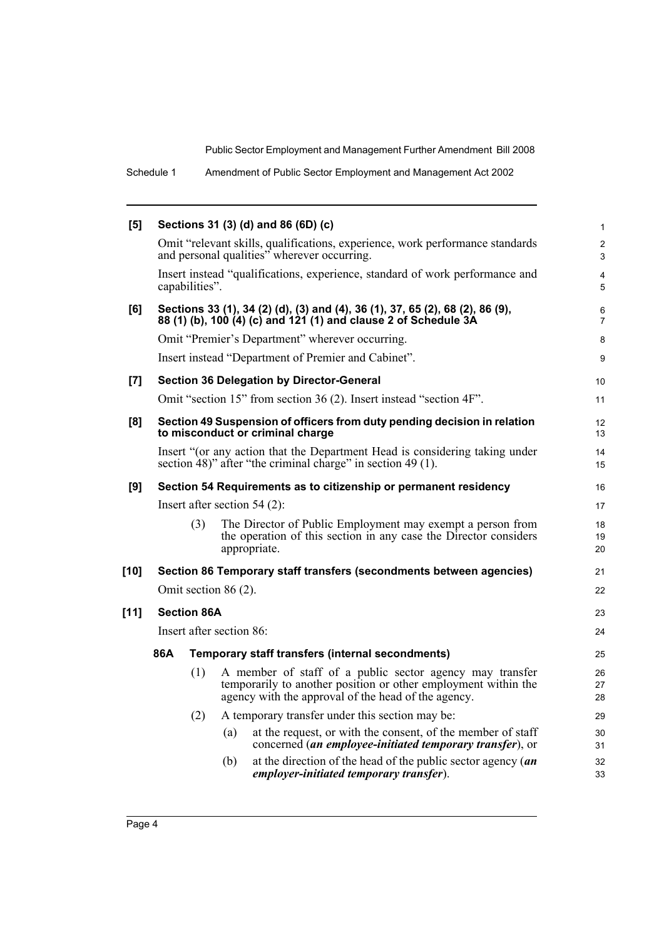Schedule 1 Amendment of Public Sector Employment and Management Act 2002

| [5]    |                                                                                                              |                                                                                                                                            |                      | Sections 31 (3) (d) and 86 (6D) (c)                                                                                                                                               | $\mathbf{1}$        |  |
|--------|--------------------------------------------------------------------------------------------------------------|--------------------------------------------------------------------------------------------------------------------------------------------|----------------------|-----------------------------------------------------------------------------------------------------------------------------------------------------------------------------------|---------------------|--|
|        |                                                                                                              |                                                                                                                                            |                      | Omit "relevant skills, qualifications, experience, work performance standards<br>and personal qualities" wherever occurring.                                                      | $\mathbf{2}$<br>3   |  |
|        |                                                                                                              | capabilities".                                                                                                                             |                      | Insert instead "qualifications, experience, standard of work performance and                                                                                                      | $\overline{4}$<br>5 |  |
| [6]    |                                                                                                              |                                                                                                                                            |                      | Sections 33 (1), 34 (2) (d), (3) and (4), 36 (1), 37, 65 (2), 68 (2), 86 (9),<br>88 (1) (b), 100 (4) (c) and 121 (1) and clause 2 of Schedule 3A                                  | 6<br>$\overline{7}$ |  |
|        |                                                                                                              |                                                                                                                                            |                      | Omit "Premier's Department" wherever occurring.                                                                                                                                   | 8                   |  |
|        |                                                                                                              |                                                                                                                                            |                      | Insert instead "Department of Premier and Cabinet".                                                                                                                               | 9                   |  |
| [7]    |                                                                                                              |                                                                                                                                            |                      | <b>Section 36 Delegation by Director-General</b>                                                                                                                                  | 10 <sup>°</sup>     |  |
|        |                                                                                                              |                                                                                                                                            |                      | Omit "section 15" from section 36 (2). Insert instead "section 4F".                                                                                                               | 11                  |  |
| [8]    | Section 49 Suspension of officers from duty pending decision in relation<br>to misconduct or criminal charge |                                                                                                                                            |                      |                                                                                                                                                                                   |                     |  |
|        |                                                                                                              | Insert "(or any action that the Department Head is considering taking under<br>section 48)" after "the criminal charge" in section 49 (1). |                      |                                                                                                                                                                                   |                     |  |
| [9]    |                                                                                                              |                                                                                                                                            |                      | Section 54 Requirements as to citizenship or permanent residency                                                                                                                  | 16                  |  |
|        |                                                                                                              |                                                                                                                                            |                      | Insert after section $54(2)$ :                                                                                                                                                    | 17                  |  |
|        |                                                                                                              | (3)                                                                                                                                        |                      | The Director of Public Employment may exempt a person from<br>the operation of this section in any case the Director considers<br>appropriate.                                    | 18<br>19<br>20      |  |
| $[10]$ |                                                                                                              |                                                                                                                                            |                      | Section 86 Temporary staff transfers (secondments between agencies)                                                                                                               | 21                  |  |
|        |                                                                                                              |                                                                                                                                            | Omit section 86 (2). |                                                                                                                                                                                   | 22                  |  |
| $[11]$ |                                                                                                              | <b>Section 86A</b>                                                                                                                         |                      |                                                                                                                                                                                   | 23                  |  |
|        | Insert after section 86:                                                                                     |                                                                                                                                            |                      |                                                                                                                                                                                   |                     |  |
|        | 86A                                                                                                          |                                                                                                                                            |                      | Temporary staff transfers (internal secondments)                                                                                                                                  | 25                  |  |
|        |                                                                                                              | (1)                                                                                                                                        |                      | A member of staff of a public sector agency may transfer<br>temporarily to another position or other employment within the<br>agency with the approval of the head of the agency. | 26<br>27<br>28      |  |
|        |                                                                                                              | (2)                                                                                                                                        |                      | A temporary transfer under this section may be:                                                                                                                                   | 29                  |  |
|        |                                                                                                              |                                                                                                                                            | (a)                  | at the request, or with the consent, of the member of staff<br>concerned (an employee-initiated temporary transfer), or                                                           | 30<br>31            |  |
|        |                                                                                                              |                                                                                                                                            | (b)                  | at the direction of the head of the public sector agency $(an$<br>employer-initiated temporary transfer).                                                                         | 32<br>33            |  |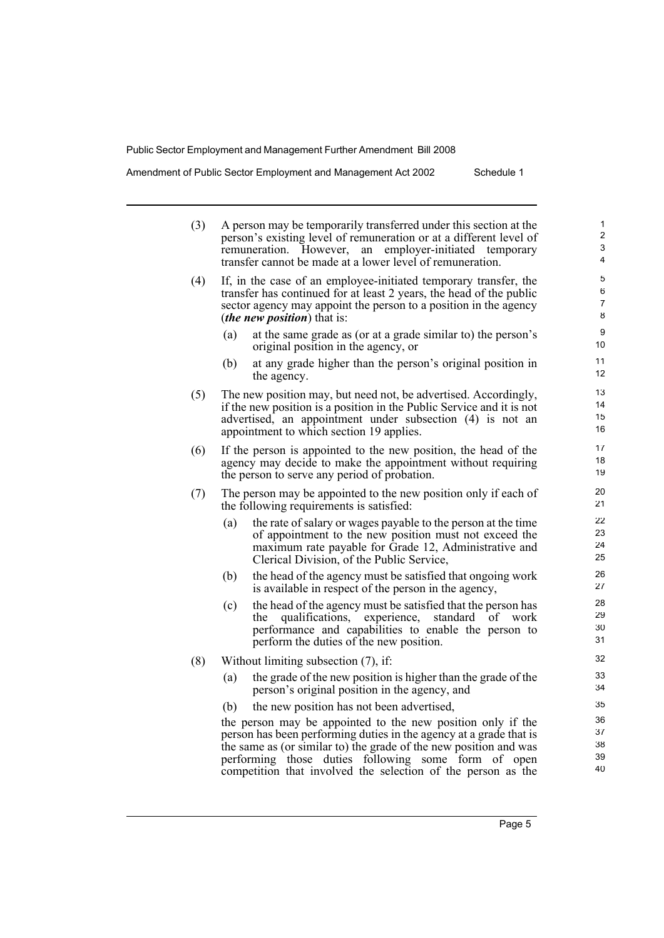Amendment of Public Sector Employment and Management Act 2002

| Schedule 1 |  |
|------------|--|
|------------|--|

| (3) | A person may be temporarily transferred under this section at the<br>person's existing level of remuneration or at a different level of<br>remuneration. However, an employer-initiated temporary<br>transfer cannot be made at a lower level of remuneration. |                      |  |  |  |  |  |  |
|-----|----------------------------------------------------------------------------------------------------------------------------------------------------------------------------------------------------------------------------------------------------------------|----------------------|--|--|--|--|--|--|
| (4) | If, in the case of an employee-initiated temporary transfer, the<br>transfer has continued for at least 2 years, the head of the public<br>sector agency may appoint the person to a position in the agency<br><i>(the new position)</i> that is:              | 5<br>6<br>7<br>8     |  |  |  |  |  |  |
|     | at the same grade as (or at a grade similar to) the person's<br>(a)<br>original position in the agency, or                                                                                                                                                     | 9<br>10              |  |  |  |  |  |  |
|     | at any grade higher than the person's original position in<br>(b)<br>the agency.                                                                                                                                                                               | 11<br>12             |  |  |  |  |  |  |
| (5) | The new position may, but need not, be advertised. Accordingly,<br>if the new position is a position in the Public Service and it is not<br>advertised, an appointment under subsection (4) is not an<br>appointment to which section 19 applies.              | 13<br>14<br>15<br>16 |  |  |  |  |  |  |
| (6) | If the person is appointed to the new position, the head of the<br>agency may decide to make the appointment without requiring<br>the person to serve any period of probation.                                                                                 | 17<br>18<br>19       |  |  |  |  |  |  |
| (7) | The person may be appointed to the new position only if each of<br>the following requirements is satisfied:                                                                                                                                                    | 20<br>21             |  |  |  |  |  |  |
|     | the rate of salary or wages payable to the person at the time<br>(a)<br>of appointment to the new position must not exceed the<br>maximum rate payable for Grade 12, Administrative and<br>Clerical Division, of the Public Service,                           | 22<br>23<br>24<br>25 |  |  |  |  |  |  |
|     | (b)<br>the head of the agency must be satisfied that ongoing work<br>is available in respect of the person in the agency,                                                                                                                                      | 26<br>27             |  |  |  |  |  |  |
|     | the head of the agency must be satisfied that the person has<br>(c)<br>qualifications, experience, standard of work<br>the<br>performance and capabilities to enable the person to<br>perform the duties of the new position.                                  | 28<br>29<br>30<br>31 |  |  |  |  |  |  |
| (8) | Without limiting subsection (7), if:                                                                                                                                                                                                                           | 32                   |  |  |  |  |  |  |
|     | the grade of the new position is higher than the grade of the<br>(a)<br>person's original position in the agency, and                                                                                                                                          | 33<br>34             |  |  |  |  |  |  |
|     | the new position has not been advertised,<br>(b)                                                                                                                                                                                                               | 35                   |  |  |  |  |  |  |
|     | the person may be appointed to the new position only if the                                                                                                                                                                                                    | 36<br>37             |  |  |  |  |  |  |
|     | person has been performing duties in the agency at a grade that is<br>the same as (or similar to) the grade of the new position and was                                                                                                                        | 38                   |  |  |  |  |  |  |
|     | duties following<br>some form<br>performing<br>those<br>of open<br>competition that involved the selection of the person as the                                                                                                                                | 39<br>40             |  |  |  |  |  |  |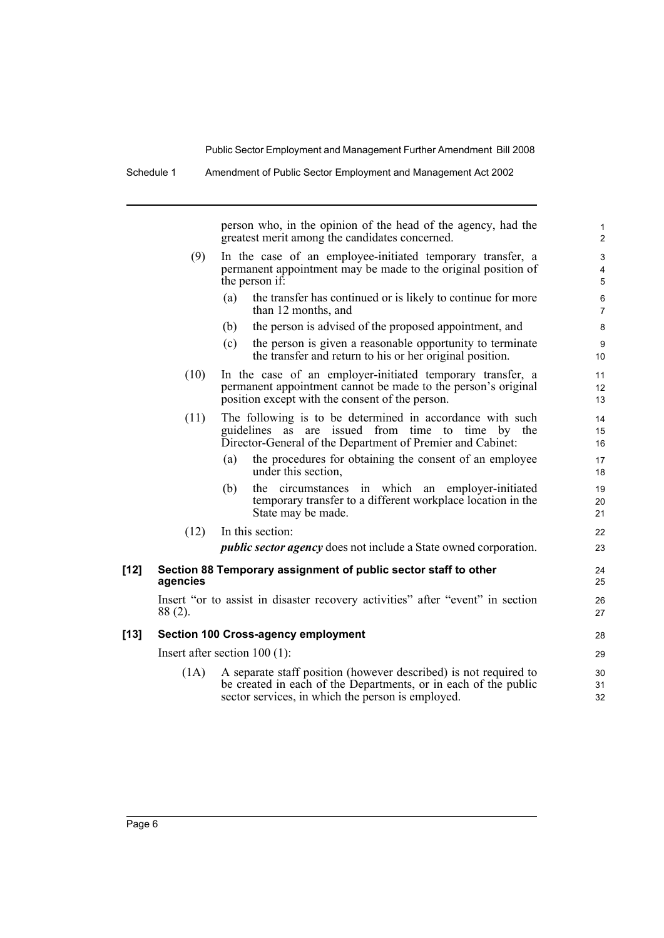Schedule 1 Amendment of Public Sector Employment and Management Act 2002

person who, in the opinion of the head of the agency, had the greatest merit among the candidates concerned.

- (9) In the case of an employee-initiated temporary transfer, a permanent appointment may be made to the original position of the person if:
	- (a) the transfer has continued or is likely to continue for more than 12 months, and
	- (b) the person is advised of the proposed appointment, and
	- (c) the person is given a reasonable opportunity to terminate the transfer and return to his or her original position.

|      | the transfer and return to ms or net original position.        | Ίυ |  |  |  |  |  |
|------|----------------------------------------------------------------|----|--|--|--|--|--|
| (10) | In the case of an employer-initiated temporary transfer, a     |    |  |  |  |  |  |
|      | permanent appointment cannot be made to the person's original  | 12 |  |  |  |  |  |
|      | position except with the consent of the person.                | 13 |  |  |  |  |  |
| (11) | The following is to be determined in accordance with such      | 14 |  |  |  |  |  |
|      | guidelines as are issued from time to time by the              | 15 |  |  |  |  |  |
|      | Director-General of the Department of Premier and Cabinet:     | 16 |  |  |  |  |  |
|      | the procedures for obtaining the consent of an employee<br>(a) | 17 |  |  |  |  |  |
|      | under this section,                                            | 18 |  |  |  |  |  |
|      | the circumstances in which an employer-initiated<br>(b)        | 19 |  |  |  |  |  |
|      | temporary transfer to a different workplace location in the    | 20 |  |  |  |  |  |
|      | State may be made.                                             | 21 |  |  |  |  |  |

- State may be made. (12) In this section:
	- *public sector agency* does not include a State owned corporation.

#### **[12] Section 88 Temporary assignment of public sector staff to other agencies**

Insert "or to assist in disaster recovery activities" after "event" in section 88 (2).

#### **[13] Section 100 Cross-agency employment**

Insert after section 100 (1):

(1A) A separate staff position (however described) is not required to be created in each of the Departments, or in each of the public sector services, in which the person is employed.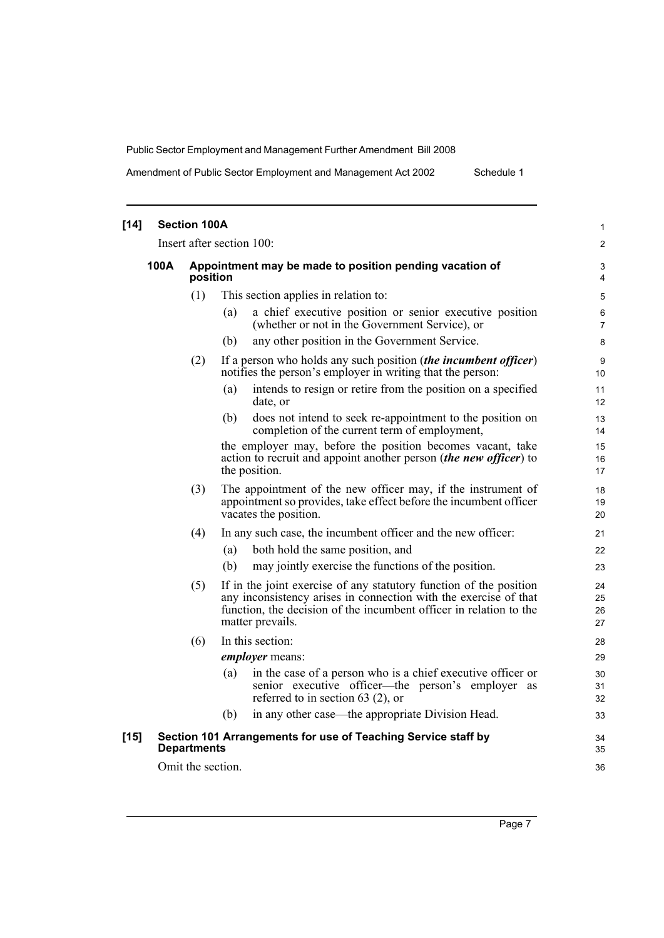Amendment of Public Sector Employment and Management Act 2002 Schedule 1

| $[14]$ | <b>Section 100A</b> |                           |                                                                                                                                                                                                                                  |                      |  |  |
|--------|---------------------|---------------------------|----------------------------------------------------------------------------------------------------------------------------------------------------------------------------------------------------------------------------------|----------------------|--|--|
|        |                     | Insert after section 100: |                                                                                                                                                                                                                                  |                      |  |  |
|        | 100A                | position                  | Appointment may be made to position pending vacation of                                                                                                                                                                          | 3<br>4               |  |  |
|        |                     | (1)                       | This section applies in relation to:                                                                                                                                                                                             | 5                    |  |  |
|        |                     |                           | a chief executive position or senior executive position<br>(a)<br>(whether or not in the Government Service), or                                                                                                                 | 6<br>7               |  |  |
|        |                     |                           | any other position in the Government Service.<br>(b)                                                                                                                                                                             | 8                    |  |  |
|        |                     | (2)                       | If a person who holds any such position (the incumbent officer)<br>notifies the person's employer in writing that the person:                                                                                                    | 9<br>10              |  |  |
|        |                     |                           | intends to resign or retire from the position on a specified<br>(a)<br>date, or                                                                                                                                                  | 11<br>12             |  |  |
|        |                     |                           | does not intend to seek re-appointment to the position on<br>(b)<br>completion of the current term of employment,                                                                                                                | 13<br>14             |  |  |
|        |                     |                           | the employer may, before the position becomes vacant, take<br>action to recruit and appoint another person (the new officer) to<br>the position.                                                                                 | 15<br>16<br>17       |  |  |
|        |                     | (3)                       | The appointment of the new officer may, if the instrument of<br>appointment so provides, take effect before the incumbent officer<br>vacates the position.                                                                       | 18<br>19<br>20       |  |  |
|        |                     | (4)                       | In any such case, the incumbent officer and the new officer:                                                                                                                                                                     | 21                   |  |  |
|        |                     |                           | both hold the same position, and<br>(a)                                                                                                                                                                                          | 22                   |  |  |
|        |                     |                           | may jointly exercise the functions of the position.<br>(b)                                                                                                                                                                       | 23                   |  |  |
|        |                     | (5)                       | If in the joint exercise of any statutory function of the position<br>any inconsistency arises in connection with the exercise of that<br>function, the decision of the incumbent officer in relation to the<br>matter prevails. | 24<br>25<br>26<br>27 |  |  |
|        |                     | (6)                       | In this section:                                                                                                                                                                                                                 | 28                   |  |  |
|        |                     |                           | <i>employer</i> means:                                                                                                                                                                                                           | 29                   |  |  |
|        |                     |                           | in the case of a person who is a chief executive officer or<br>(a)<br>senior executive officer—the person's employer as<br>referred to in section 63 $(2)$ , or                                                                  | 30<br>31<br>32       |  |  |
|        |                     |                           | in any other case—the appropriate Division Head.<br>(b)                                                                                                                                                                          | 33                   |  |  |
| $[15]$ |                     | <b>Departments</b>        | Section 101 Arrangements for use of Teaching Service staff by                                                                                                                                                                    | 34<br>35             |  |  |
|        |                     | Omit the section.         |                                                                                                                                                                                                                                  | 36                   |  |  |
|        |                     |                           |                                                                                                                                                                                                                                  |                      |  |  |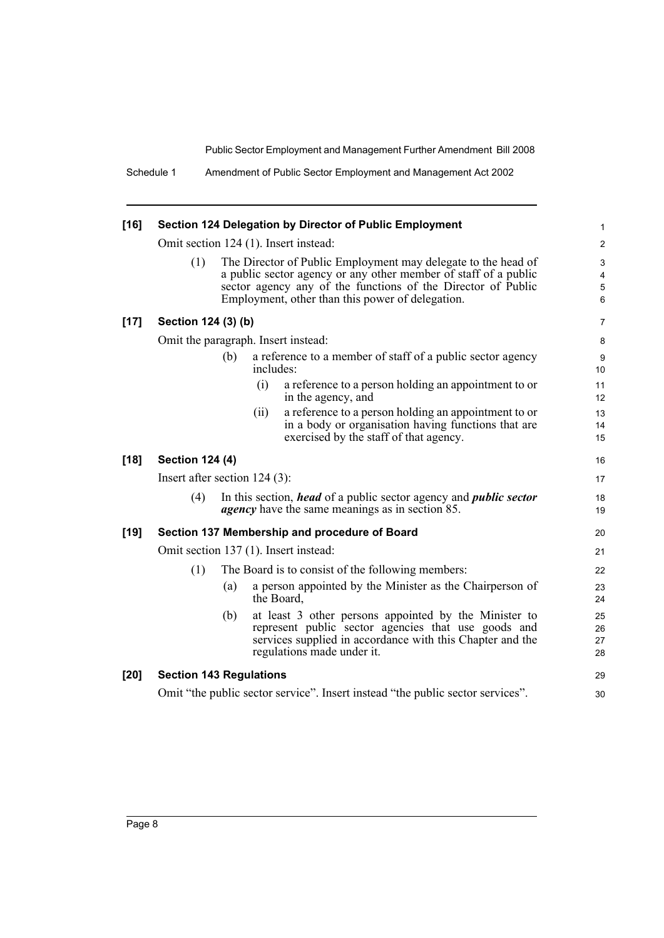| $[16]$ |                                                                                                                                                                                                                                                             |     |           | Section 124 Delegation by Director of Public Employment                                                                                                                                                 | 1                    |  |  |
|--------|-------------------------------------------------------------------------------------------------------------------------------------------------------------------------------------------------------------------------------------------------------------|-----|-----------|---------------------------------------------------------------------------------------------------------------------------------------------------------------------------------------------------------|----------------------|--|--|
|        | Omit section 124 (1). Insert instead:                                                                                                                                                                                                                       |     |           |                                                                                                                                                                                                         |                      |  |  |
|        | (1)<br>The Director of Public Employment may delegate to the head of<br>a public sector agency or any other member of staff of a public<br>sector agency any of the functions of the Director of Public<br>Employment, other than this power of delegation. |     |           |                                                                                                                                                                                                         |                      |  |  |
| $[17]$ | Section 124 (3) (b)                                                                                                                                                                                                                                         |     |           |                                                                                                                                                                                                         | $\overline{7}$       |  |  |
|        | Omit the paragraph. Insert instead:                                                                                                                                                                                                                         |     |           |                                                                                                                                                                                                         | 8                    |  |  |
|        |                                                                                                                                                                                                                                                             | (b) | includes: | a reference to a member of staff of a public sector agency                                                                                                                                              | 9<br>10              |  |  |
|        |                                                                                                                                                                                                                                                             |     | (i)       | a reference to a person holding an appointment to or<br>in the agency, and                                                                                                                              | 11<br>12             |  |  |
|        |                                                                                                                                                                                                                                                             |     | (i)       | a reference to a person holding an appointment to or<br>in a body or organisation having functions that are<br>exercised by the staff of that agency.                                                   | 13<br>14<br>15       |  |  |
| $[18]$ | <b>Section 124 (4)</b>                                                                                                                                                                                                                                      |     |           |                                                                                                                                                                                                         | 16                   |  |  |
|        | Insert after section $124(3)$ :                                                                                                                                                                                                                             |     |           |                                                                                                                                                                                                         | 17                   |  |  |
|        | (4)                                                                                                                                                                                                                                                         |     |           | In this section, <i>head</i> of a public sector agency and <i>public sector</i><br><i>agency</i> have the same meanings as in section 85.                                                               | 18<br>19             |  |  |
| $[19]$ |                                                                                                                                                                                                                                                             |     |           | Section 137 Membership and procedure of Board                                                                                                                                                           | 20                   |  |  |
|        |                                                                                                                                                                                                                                                             |     |           | Omit section 137 (1). Insert instead:                                                                                                                                                                   | 21                   |  |  |
|        | (1)                                                                                                                                                                                                                                                         |     |           | The Board is to consist of the following members:                                                                                                                                                       | 22                   |  |  |
|        |                                                                                                                                                                                                                                                             | (a) |           | a person appointed by the Minister as the Chairperson of<br>the Board,                                                                                                                                  | 23<br>24             |  |  |
|        |                                                                                                                                                                                                                                                             | (b) |           | at least 3 other persons appointed by the Minister to<br>represent public sector agencies that use goods and<br>services supplied in accordance with this Chapter and the<br>regulations made under it. | 25<br>26<br>27<br>28 |  |  |
| $[20]$ | <b>Section 143 Regulations</b>                                                                                                                                                                                                                              |     |           |                                                                                                                                                                                                         | 29                   |  |  |
|        |                                                                                                                                                                                                                                                             |     |           | Omit "the public sector service". Insert instead "the public sector services".                                                                                                                          | 30                   |  |  |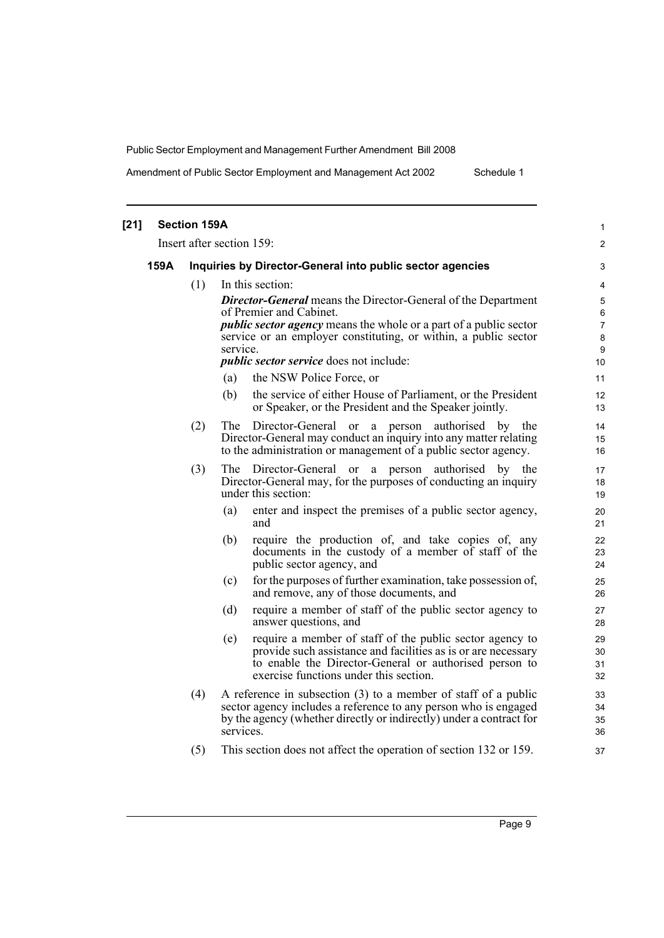Amendment of Public Sector Employment and Management Act 2002 Schedule 1

| $[21]$ |      | <b>Section 159A</b> |                                                                                                                                                                                                                                                                                                              | 1                                        |
|--------|------|---------------------|--------------------------------------------------------------------------------------------------------------------------------------------------------------------------------------------------------------------------------------------------------------------------------------------------------------|------------------------------------------|
|        |      |                     | Insert after section 159:                                                                                                                                                                                                                                                                                    | $\overline{2}$                           |
|        | 159A |                     | Inquiries by Director-General into public sector agencies                                                                                                                                                                                                                                                    | 3                                        |
|        |      | (1)                 | In this section:                                                                                                                                                                                                                                                                                             | 4                                        |
|        |      |                     | <b>Director-General</b> means the Director-General of the Department<br>of Premier and Cabinet.<br><i>public sector agency</i> means the whole or a part of a public sector<br>service or an employer constituting, or within, a public sector<br>service.<br><i>public sector service</i> does not include: | 5<br>6<br>$\overline{7}$<br>8<br>9<br>10 |
|        |      |                     | the NSW Police Force, or<br>(a)                                                                                                                                                                                                                                                                              | 11                                       |
|        |      |                     | the service of either House of Parliament, or the President<br>(b)<br>or Speaker, or the President and the Speaker jointly.                                                                                                                                                                                  | 12<br>13                                 |
|        |      | (2)                 | The<br>Director-General or<br>a person authorised by the<br>Director-General may conduct an inquiry into any matter relating<br>to the administration or management of a public sector agency.                                                                                                               | 14<br>15<br>16                           |
|        |      | (3)                 | The Director-General or a person authorised by the<br>Director-General may, for the purposes of conducting an inquiry<br>under this section:                                                                                                                                                                 | 17<br>18<br>19                           |
|        |      |                     | enter and inspect the premises of a public sector agency,<br>(a)<br>and                                                                                                                                                                                                                                      | 20<br>21                                 |
|        |      |                     | require the production of, and take copies of, any<br>(b)<br>documents in the custody of a member of staff of the<br>public sector agency, and                                                                                                                                                               | 22<br>23<br>24                           |
|        |      |                     | for the purposes of further examination, take possession of,<br>(c)<br>and remove, any of those documents, and                                                                                                                                                                                               | 25<br>26                                 |
|        |      |                     | require a member of staff of the public sector agency to<br>(d)<br>answer questions, and                                                                                                                                                                                                                     | 27<br>28                                 |
|        |      |                     | require a member of staff of the public sector agency to<br>(e)<br>provide such assistance and facilities as is or are necessary<br>to enable the Director-General or authorised person to<br>exercise functions under this section.                                                                         | 29<br>30<br>31<br>32                     |
|        |      | (4)                 | A reference in subsection (3) to a member of staff of a public<br>sector agency includes a reference to any person who is engaged<br>by the agency (whether directly or indirectly) under a contract for<br>services.                                                                                        | 33<br>34<br>35<br>36                     |
|        |      | (5)                 | This section does not affect the operation of section 132 or 159.                                                                                                                                                                                                                                            | 37                                       |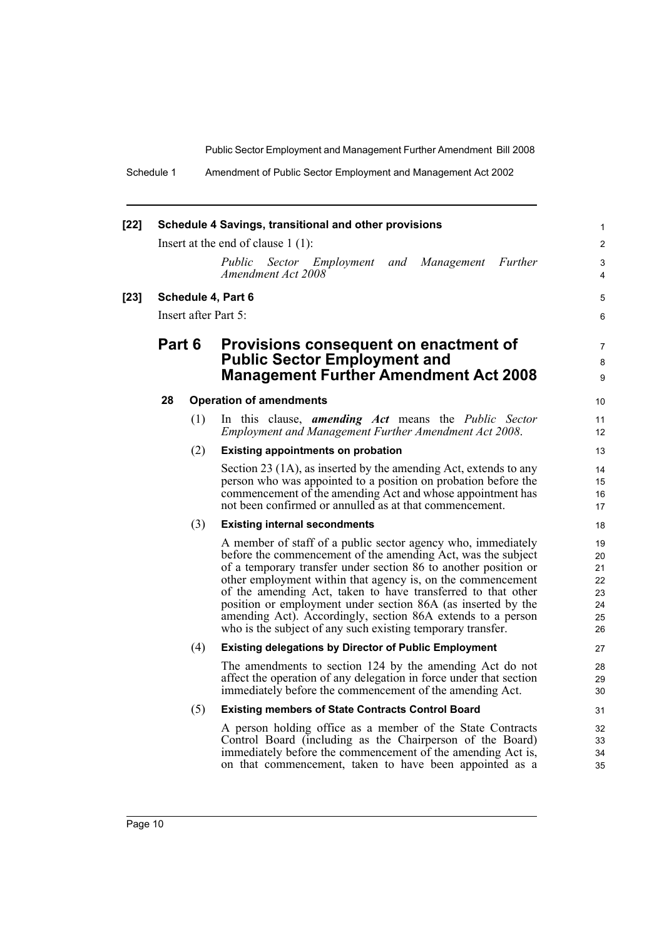Schedule 1 Amendment of Public Sector Employment and Management Act 2002

| $[22]$ |                      |     | Schedule 4 Savings, transitional and other provisions                                                                                                                                                                                                                                                                                                                                                                                                                                                                        | 1                                            |
|--------|----------------------|-----|------------------------------------------------------------------------------------------------------------------------------------------------------------------------------------------------------------------------------------------------------------------------------------------------------------------------------------------------------------------------------------------------------------------------------------------------------------------------------------------------------------------------------|----------------------------------------------|
|        |                      |     | Insert at the end of clause $1(1)$ :                                                                                                                                                                                                                                                                                                                                                                                                                                                                                         | $\overline{2}$                               |
|        |                      |     | Management<br>Further<br>Public<br>Sector Employment<br>and<br>Amendment Act 2008                                                                                                                                                                                                                                                                                                                                                                                                                                            | 3<br>4                                       |
| $[23]$ |                      |     | Schedule 4, Part 6                                                                                                                                                                                                                                                                                                                                                                                                                                                                                                           | 5                                            |
|        | Insert after Part 5: |     |                                                                                                                                                                                                                                                                                                                                                                                                                                                                                                                              | 6                                            |
|        | Part 6               |     | Provisions consequent on enactment of<br><b>Public Sector Employment and</b><br><b>Management Further Amendment Act 2008</b>                                                                                                                                                                                                                                                                                                                                                                                                 | 7<br>8<br>9                                  |
|        | 28                   |     | <b>Operation of amendments</b>                                                                                                                                                                                                                                                                                                                                                                                                                                                                                               | 10                                           |
|        |                      | (1) | In this clause, <b>amending Act</b> means the <i>Public Sector</i><br><b>Employment and Management Further Amendment Act 2008.</b>                                                                                                                                                                                                                                                                                                                                                                                           | 11<br>12                                     |
|        |                      | (2) | <b>Existing appointments on probation</b>                                                                                                                                                                                                                                                                                                                                                                                                                                                                                    | 13                                           |
|        |                      |     | Section 23 (1A), as inserted by the amending Act, extends to any<br>person who was appointed to a position on probation before the<br>commencement of the amending Act and whose appointment has<br>not been confirmed or annulled as at that commencement.                                                                                                                                                                                                                                                                  | 14<br>15<br>16<br>17                         |
|        |                      | (3) | <b>Existing internal secondments</b>                                                                                                                                                                                                                                                                                                                                                                                                                                                                                         | 18                                           |
|        |                      |     | A member of staff of a public sector agency who, immediately<br>before the commencement of the amending Act, was the subject<br>of a temporary transfer under section 86 to another position or<br>other employment within that agency is, on the commencement<br>of the amending Act, taken to have transferred to that other<br>position or employment under section 86A (as inserted by the<br>amending Act). Accordingly, section 86A extends to a person<br>who is the subject of any such existing temporary transfer. | 19<br>20<br>21<br>22<br>23<br>24<br>25<br>26 |
|        |                      | (4) | <b>Existing delegations by Director of Public Employment</b>                                                                                                                                                                                                                                                                                                                                                                                                                                                                 | 27                                           |
|        |                      |     | The amendments to section 124 by the amending Act do not<br>affect the operation of any delegation in force under that section<br>immediately before the commencement of the amending Act.                                                                                                                                                                                                                                                                                                                                   | 28<br>29<br>30                               |
|        |                      | (5) | <b>Existing members of State Contracts Control Board</b>                                                                                                                                                                                                                                                                                                                                                                                                                                                                     | 31                                           |
|        |                      |     | A person holding office as a member of the State Contracts<br>Control Board (including as the Chairperson of the Board)<br>immediately before the commencement of the amending Act is,<br>on that commencement, taken to have been appointed as a                                                                                                                                                                                                                                                                            | 32<br>33<br>34<br>35                         |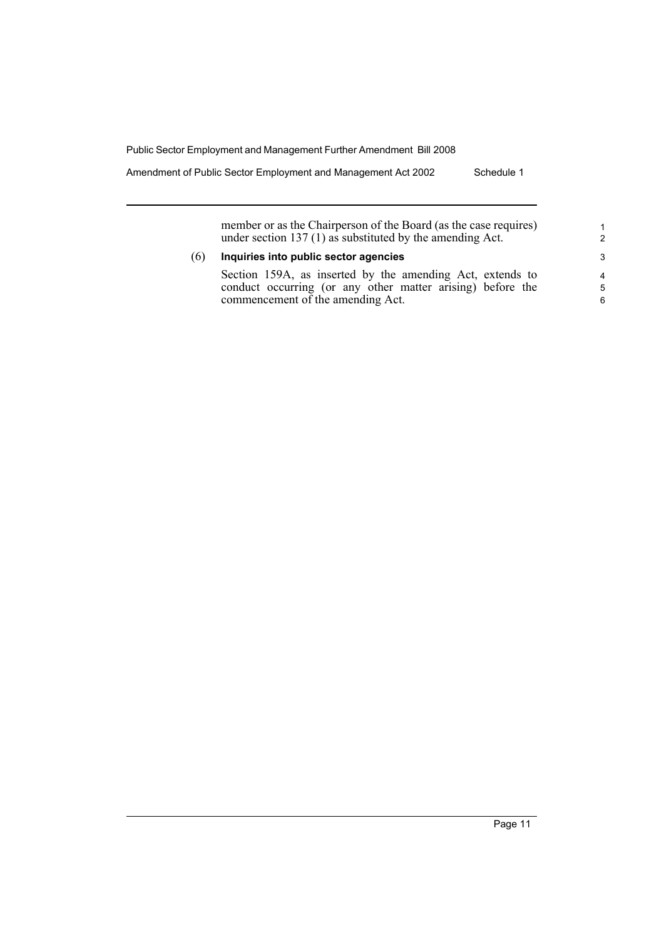Amendment of Public Sector Employment and Management Act 2002 Schedule 1

member or as the Chairperson of the Board (as the case requires) under section 137 (1) as substituted by the amending Act.

#### (6) **Inquiries into public sector agencies**

Section 159A, as inserted by the amending Act, extends to conduct occurring (or any other matter arising) before the commencement of the amending Act.